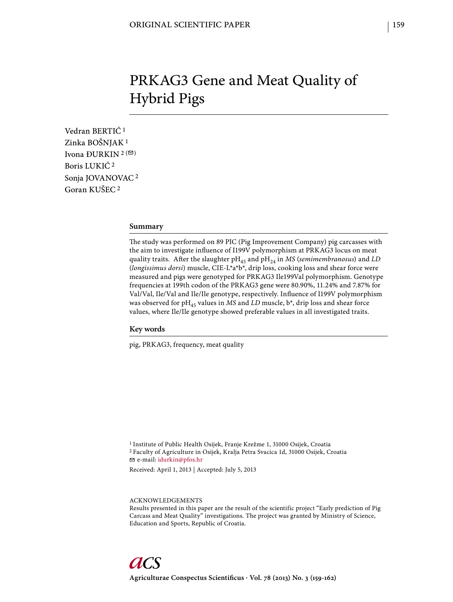# PRKAG3 Gene and Meat Quality of Hybrid Pigs

Vedran BERTIĆ 1 Zinka BOŠNJAK 1 Ivona ĐURKIN<sup>2 ( $\textcircled{2}$ )</sup> Boris LUKIĆ 2 Sonja JOVANOVAC 2 Goran KUŠEC 2

#### **Summary**

The study was performed on 89 PIC (Pig Improvement Company) pig carcasses with the aim to investigate influence of I199V polymorphism at PRKAG3 locus on meat quality traits. After the slaughter pH<sub>45</sub> and pH<sub>24</sub> in *MS* (*semimembranosus*) and *LD* (*longissimus dorsi*) muscle, CIE-L\*a\*b\*, drip loss, cooking loss and shear force were measured and pigs were genotyped for PRKAG3 Ile199Val polymorphism. Genotype frequencies at 199th codon of the PRKAG3 gene were 80.90%, 11.24% and 7.87% for Val/Val, Ile/Val and Ile/Ile genotype, respectively. Influence of I199V polymorphism was observed for pH<sub>45</sub> values in *MS* and *LD* muscle, b<sup>\*</sup>, drip loss and shear force values, where Ile/Ile genotype showed preferable values in all investigated traits.

## **Key words**

pig, PRKAG3, frequency, meat quality

1 Institute of Public Health Osijek, Franje Krežme 1, 31000 Osijek, Croatia 2 Faculty of Agriculture in Osijek, Kralja Petra Svacica 1d, 31000 Osijek, Croatia e-mail: idurkin@pfos.hr

Received: April 1, 2013 | Accepted: July 5, 2013

ACKNOWLEDGEMENTS

Results presented in this paper are the result of the scientific project "Early prediction of Pig Carcass and Meat Quality" investigations. The project was granted by Ministry of Science, Education and Sports, Republic of Croatia.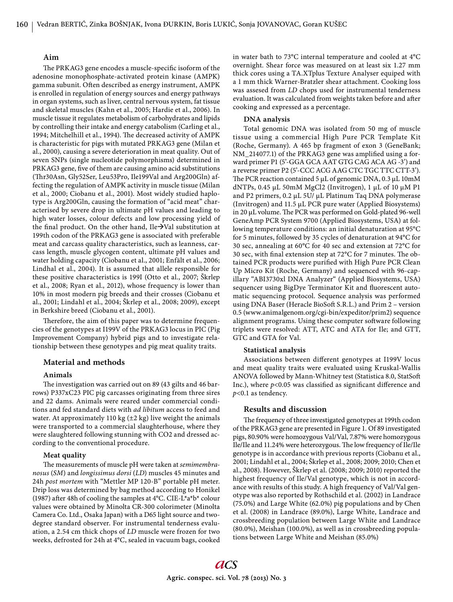# **Aim**

The PRKAG3 gene encodes a muscle-specific isoform of the adenosine monophosphate-activated protein kinase (AMPK) gamma subunit. Often described as energy instrument, AMPK is enrolled in regulation of energy sources and energy pathways in organ systems, such as liver, central nervous system, fat tissue and skeletal muscles (Kahn et al., 2005; Hardie et al., 2006). In muscle tissue it regulates metabolism of carbohydrates and lipids by controlling their intake and energy catabolism (Carling et al., 1994; Mitchelhill et al., 1994). The decreased activity of AMPK is characteristic for pigs with mutated PRKAG3 gene (Milan et al., 2000), causing a severe deterioration in meat quality. Out of seven SNPs (single nucleotide polymorphisms) determined in PRKAG3 gene, five of them are causing amino acid substitutions (Thr30Asn, Gly52Ser, Leu53Pro, Ile199Val and Arg200Gln) affecting the regulation of AMPK activity in muscle tissue (Milan et al., 2000; Ciobanu et al., 2001). Most widely studied haplotype is Arg200Gln, causing the formation of "acid meat" characterised by severe drop in ultimate pH values and leading to high water losses, colour defects and low processing yield of the final product. On the other hand, Ile $\rightarrow$ Val substitution at 199th codon of the PRKAG3 gene is associated with preferable meat and carcass quality characteristics, such as leanness, carcass length, muscle glycogen content, ultimate pH values and water holding capacity (Ciobanu et al., 2001; Enfält et al., 2006; Lindhal et al., 2004). It is assumed that allele responsible for these positive characteristics is 199I (Otto et al., 2007; Škrlep et al., 2008; Ryan et al., 2012), whose frequency is lower than 10% in most modern pig breeds and their crosses (Ciobanu et al., 2001; Lindahl et al., 2004; Škrlep et al., 2008; 2009), except in Berkshire breed (Ciobanu et al., 2001).

Therefore, the aim of this paper was to determine frequencies of the genotypes at I199V of the PRKAG3 locus in PIC (Pig Improvement Company) hybrid pigs and to investigate relationship between these genotypes and pig meat quality traits.

# **Material and methods**

## **Animals**

The investigation was carried out on 89 (43 gilts and 46 barrows) P337xC23 PIC pig carcasses originating from three sires and 22 dams. Animals were reared under commercial conditions and fed standard diets with *ad libitum* access to feed and water. At approximately 110 kg  $(\pm 2 \text{ kg})$  live weight the animals were transported to a commercial slaughterhouse, where they were slaughtered following stunning with CO2 and dressed according to the conventional procedure.

### **Meat quality**

The measurements of muscle pH were taken at *semimembra nosus* (*SM*) and *longissimus dorsi* (*LD*) muscles 45 minutes and 24h *post mortem* with "Mettler MP 120-B" portable pH meter. Drip loss was determined by bag method according to Honikel (1987) after 48h of cooling the samples at 4°C. CIE-L\*a\*b\* colour values were obtained by Minolta CR-300 colorimeter (Minolta Camera Co. Ltd., Osaka Japan) with a D65 light source and twodegree standard observer. For instrumental tenderness evaluation, a 2.54 cm thick chops of *LD* muscle were frozen for two weeks, defrosted for 24h at 4°C, sealed in vacuum bags, cooked in water bath to 73°C internal temperature and cooled at 4°C overnight. Shear force was measured on at least six 1.27 mm thick cores using a TA.XTplus Texture Analyser equiped with a 1 mm thick Warner-Bratzler shear attachment. Cooking loss was assesed from *LD* chops used for instrumental tenderness evaluation. It was calculated from weights taken before and after cooking and expressed as a percentage.

#### **DNA analysis**

Total genomic DNA was isolated from 50 mg of muscle tissue using a commercial High Pure PCR Template Kit (Roche, Germany). A 465 bp fragment of exon 3 (GeneBank; NM\_214077.1) of the PRKAG3 gene was amplified using a forward primer P1 (5'-GGA GCA AAT GTG CAG ACA AG -3') and a reverse primer P2 (5'-CCC ACG AAG CTC TGC TTC CTT-3'). The PCR reaction contained 5 μL of genomic DNA, 0.3 μL 10mM dNTPs, 0.45 μL 50mM MgCl2 (Invitrogen), 1 μL of 10 μM P1 and P2 primers, 0.2 μL 5U/ μL Platinum Taq DNA polymerase (Invitrogen) and 11.5 μL PCR pure water (Applied Biosystems) in 20 μL volume. The PCR was performed on Gold-plated 96-well GeneAmp PCR System 9700 (Applied Biosystems, USA) at following temperature conditions: an initial denaturation at 95°C for 5 minutes, followed by 35 cycles of denaturation at 94°C for 30 sec, annealing at 60°C for 40 sec and extension at 72°C for 30 sec, with final extension step at  $72^{\circ}$ C for 7 minutes. The obtained PCR products were purified with High Pure PCR Clean Up Micro Kit (Roche, Germany) and sequenced with 96-capillary "ABI3730xl DNA Analyzer" (Applied Biosystems, USA) sequencer using BigDye Terminator Kit and fluorescent automatic sequencing protocol. Sequence analysis was performed using DNA Baser (Heracle BioSoft S.R.L.) and Prim 2 – version 0.5 (www.animalgenom.org/cgi-bin/expeditor/prim2) sequence alignment programs. Using these computer software following triplets were resolved: ATT, ATC and ATA for Ile; and GTT, GTC and GTA for Val.

#### **Statistical analysis**

Associations between different genotypes at I199V locus and meat quality traits were evaluated using Kruskal-Wallis ANOVA followed by Mann-Whitney test (Statistica 8.0, StatSoft Inc.), where  $p<0.05$  was classified as significant difference and *p*<0.1 as tendency.

### **Results and discussion**

The frequency of three investigated genotypes at 199th codon of the PRKAG3 gene are presented in Figure 1. Of 89 investigated pigs, 80.90% were homozygous Val/Val, 7.87% were homozygous Ile/Ile and 11.24% were heterozygous. The low frequency of Ile/Ile genotype is in accordance with previous reports (Ciobanu et al., 2001; Lindahl et al., 2004; Škrlep et al., 2008; 2009; 2010; Chen et al., 2008). However, Škrlep et al. (2008; 2009; 2010) reported the highest frequency of Ile/Val genotype, which is not in accordance with results of this study. A high frequency of Val/Val genotype was also reported by Rothschild et al. (2002) in Landrace (75.0%) and Large White (62.0%) pig populations and by Chen et al. (2008) in Landrace (89.0%), Large White, Landrace and crossbreeding population between Large White and Landrace (80.0%), Meishan (100.0%), as well as in crossbreeding populations between Large White and Meishan (85.0%)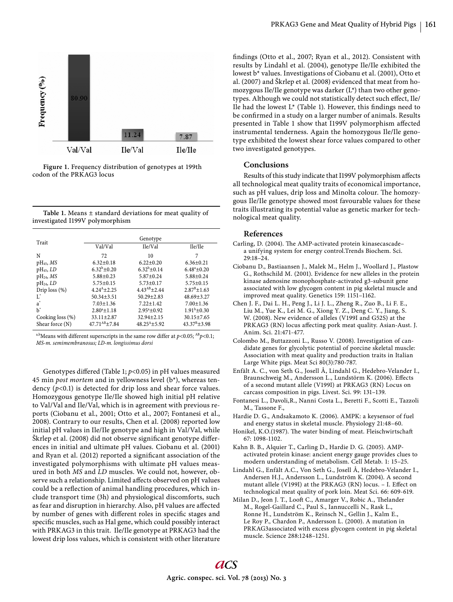

**Figure 1.** Frequency distribution of genotypes at 199th codon of the PRKAG3 locus

|  | Table 1. Means $\pm$ standard deviations for meat quality of |  |  |  |
|--|--------------------------------------------------------------|--|--|--|
|  | investigated I199V polymorphism                              |  |  |  |

| Trait               | Genotype            |                      |                        |  |  |  |
|---------------------|---------------------|----------------------|------------------------|--|--|--|
|                     | Val/Val             | Ile/Val              | Ile/Ile                |  |  |  |
| N                   | 72                  | 10                   | 7                      |  |  |  |
| $pH_{45}$ , MS      | $6.32+0.18$         | $6.22 + 0.20$        | $6.36 \pm 0.21$        |  |  |  |
| $pH_{45}$ , LD      | $6.32^b + 0.20$     | $6.32^b \pm 0.14$    | $6.48^a \pm 0.20$      |  |  |  |
| $pH_{24}$ , MS      | $5.88 + 0.23$       | $5.87 + 0.24$        | $5.88 + 0.24$          |  |  |  |
| $pH_{24}$ , LD      | $5.75 + 0.15$       | $5.73 + 0.17$        | $5.75 + 0.15$          |  |  |  |
| Drip $loss(%)$      | $4.24^{A}$ + 2.25   | $4.43^{AB}$ + 2.44   | $2.87^{\rm B}$ ± 1.63  |  |  |  |
| Ľ                   | $50.34 + 3.51$      | $50.29 + 2.83$       | $48.69 \pm 3.27$       |  |  |  |
| $a^*$               | $7.03 + 1.36$       | $7.22 + 1.42$        | $7.00 + 1.36$          |  |  |  |
| b*                  | $2.80^a \pm 1.18$   | $2.95^{\circ}$ ±0.92 | $1.91^b \pm 0.30$      |  |  |  |
| Cooking loss $(\%)$ | $33.11 + 2.87$      | $32.94 + 2.15$       | $30.15 + 7.65$         |  |  |  |
| Shear force (N)     | $47.71^{AB}$ + 7.84 | $48.25^{A} + 5.92$   | $43.37^{\rm B} + 3.98$ |  |  |  |

a,bMeans with different superscripts in the same row differ at  $p<0.05$ ;  $^{AB}p<0.1$ ; MS-m. semimembranosus; LD-m. longissimus dorsi

Genotypes differed (Table 1;  $p$ <0.05) in pH values measured 45 min *post mortem* and in yellowness level (b\*), whereas tendency (*p*<0.1) is detected for drip loss and shear force values. Homozygous genotype Ile/Ile showed high initial pH relative to Val/Val and Ile/Val, which is in agreement with previous reports (Ciobanu et al., 2001; Otto et al., 2007; Fontanesi et al., 2008). Contrary to our results, Chen et al. (2008) reported low initial pH values in Ile/Ile genotype and high in Val/Val, while Škrlep et al. (2008) did not observe significant genotype differences in initial and ultimate pH values. Ciobanu et al. (2001) and Ryan et al. (2012) reported a significant association of the investigated polymorphisms with ultimate pH values measured in both *MS* and *LD* muscles. We could not, however, observe such a relationship. Limited affects observed on pH values could be a reflection of animal handling procedures, which include transport time (3h) and physiological discomforts, such as fear and disruption in hierarchy. Also, pH values are affected by number of genes with different roles in specific stages and specific muscles, such as Hal gene, which could possibly interact with PRKAG3 in this trait. Ile/Ile genotype at PRKAG3 had the lowest drip loss values, which is consistent with other literature findings (Otto et al., 2007; Ryan et al., 2012). Consistent with results by Lindahl et al. (2004), genotype Ile/Ile exhibited the lowest b\* values. Investigations of Ciobanu et al. (2001), Otto et al. (2007) and Škrlep et al. (2008) evidenced that meat from homozygous Ile/Ile genotype was darker (L\*) than two other genotypes. Although we could not statistically detect such effect, Ile/ Ile had the lowest  $L^*$  (Table 1). However, this findings need to be confirmed in a study on a larger number of animals. Results presented in Table 1 show that I199V polymorphism affected instrumental tenderness. Again the homozygous Ile/Ile genotype exhibited the lowest shear force values compared to other two investigated genotypes.

# **Conclusions**

Results of this study indicate that I199V polymorphism affects all technological meat quality traits of economical importance, such as pH values, drip loss and Minolta colour. The homozygous Ile/Ile genotype showed most favourable values for these traits illustrating its potential value as genetic marker for technological meat quality.

#### **References**

- Carling, D. (2004). The AMP-activated protein kinasecascadea unifying system for energy control.Trends Biochem. Sci. 29:18–24.
- Ciobanu D., Bastiaansen J., Malek M., Helm J., Woollard J., Plastow G., Rothschild M. (2001). Evidence for new alleles in the protein kinase adenosine monophosphate-activated g3-subunit gene associated with low glycogen content in pig skeletal muscle and improved meat quality. Genetics 159: 1151–1162.
- Chen J. F., Dai L. H., Peng J., Li J. L., Zheng R., Zuo B., Li F. E., Liu M., Yue K., Lei M. G., Xiong Y. Z., Deng C. Y., Jiang, S. W. (2008). New evidence of alleles (V199I and G52S) at the PRKAG3 (RN) locus affecting pork meat quality. Asian-Aust. J. Anim. Sci. 21:471-477.
- Colombo M., Buttazzoni L., Russo V. (2008). Investigation of candidate genes for glycolytic potential of porcine skeletal muscle: Association with meat quality and production traits in Italian Large White pigs. Meat Sci 80(3):780-787.
- Enfält A. C., von Seth G., Josell Å, Lindahl G., Hedebro-Velander I., Braunschweig M., Andersson L., Lundstörm K. (2006). Effects of a second mutant allele (V199I) at PRKAG3 (RN) Locus on carcass composition in pigs. Livest. Sci. 99: 131–139.
- Fontanesi L., Davoli,R., Nanni Costa L., Beretti F., Scotti E., Tazzoli M., Tassone F.,
- Hardie D. G., Andsakamoto K. (2006). AMPK: a keysensor of fuel and energy status in skeletal muscle. Physiology 21:48–60.
- Honikel, K.O.(1987). The water binding of meat. Fleischwirtschaft 67: 1098-1102.
- Kahn B. B., Alquier T., Carling D., Hardie D. G. (2005). AMPactivated protein kinase: ancient energy gauge provides clues to modern understanding of metabolism. Cell Metab. 1: 15–25.
- Lindahl G., Enfält A.C., Von Seth G., Josell Å, Hedebro-Velander I., Andersen H.J., Andersson L., Lundström K. (2004). A second mutant allele (V199I) at the PRKAG3 (RN) locus. - I. Effect on technological meat quality of pork loin. Meat Sci. 66: 609-619.
- Milan D., Jeon J. T., Looft C., Amarger V., Robic A., Thelander M., Rogel-Gaillard C., Paul S., Iannuccelli N., Rask L., Ronne H., Lundström K., Reinsch N., Gellin J., Kalm E., Le Roy P., Chardon P., Andersson L. (2000). A mutation in PRKAG3associated with excess glycogen content in pig skeletal muscle. Science 288:1248–1251.